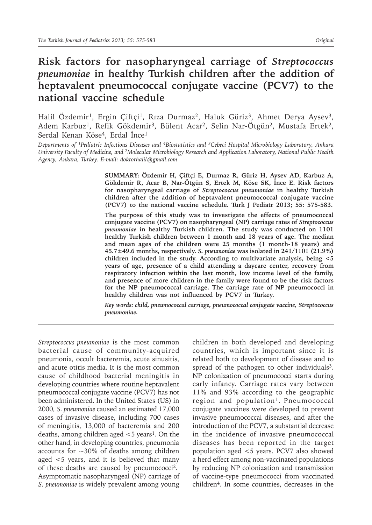# **Risk factors for nasopharyngeal carriage of** *Streptococcus pneumoniae* **in healthy Turkish children after the addition of heptavalent pneumococcal conjugate vaccine (PCV7) to the national vaccine schedule**

Halil Özdemir<sup>1</sup>, Ergin Çiftçi<sup>1</sup>, Rıza Durmaz<sup>2</sup>, Haluk Güriz<sup>3</sup>, Ahmet Derya Aysev<sup>3</sup>, Adem Karbuz<sup>1</sup>, Refik Gökdemir<sup>3</sup>, Bülent Acar<sup>2</sup>, Selin Nar-Ötgün<sup>2</sup>, Mustafa Ertek<sup>2</sup>, Serdal Kenan Köse4, Erdal İnce<sup>1</sup>

*Departments of 1Pediatric Infectious Diseases and 4Biostatistics and <sup>3</sup>Cebeci Hospital Microbiology Laboratory, Ankara University Faculty of Medicine, and <sup>2</sup>Molecular Microbiology Research and Application Laboratory, National Public Health Agency, Ankara, Turkey. E-mail: doktorhalil@gmail.com*

> **SUMMARY: Özdemir H, Çiftçi E, Durmaz R, Güriz H, Aysev AD, Karbuz A, Gökdemir R, Acar B, Nar-Ötgün S, Ertek M, Köse SK, İnce E. Risk factors for nasopharyngeal carriage of** *Streptococcus pneumoniae* **in healthy Turkish children after the addition of heptavalent pneumococcal conjugate vaccine (PCV7) to the national vaccine schedule. Turk J Pediatr 2013; 55: 575-583.**

> **The purpose of this study was to investigate the effects of pneumococcal conjugate vaccine (PCV7) on nasopharyngeal (NP) carriage rates of** *Streptococcus pneumoniae* **in healthy Turkish children. The study was conducted on 1101 healthy Turkish children between 1 month and 18 years of age. The median and mean ages of the children were 25 months (1 month-18 years) and 45.7±49.6 months, respectively.** *S. pneumoniae* **was isolated in 241/1101 (21.9%) children included in the study. According to multivariate analysis, being <5 years of age, presence of a child attending a daycare center, recovery from respiratory infection within the last month, low income level of the family, and presence of more children in the family were found to be the risk factors for the NP pneumococcal carriage. The carriage rate of NP pneumococci in healthy children was not influenced by PCV7 in Turkey.**

> *Key words: child, pneumococcal carriage, pneumococcal conjugate vaccine, Streptococcus pneumoniae.*

*Streptococcus pneumoniae* is the most common bacterial cause of community-acquired pneumonia, occult bacteremia, acute sinusitis, and acute otitis media. It is the most common cause of childhood bacterial meningitis in developing countries where routine heptavalent pneumococcal conjugate vaccine (PCV7) has not been administered. In the United States (US) in 2000, *S. pneumoniae* caused an estimated 17,000 cases of invasive disease, including 700 cases of meningitis, 13,000 of bacteremia and 200 deaths, among children aged  $<5$  years<sup>1</sup>. On the other hand, in developing countries, pneumonia accounts for  $\sim$ 30% of deaths among children aged <5 years, and it is believed that many of these deaths are caused by pneumococci2. Asymptomatic nasopharyngeal (NP) carriage of *S. pneumoniae* is widely prevalent among young children in both developed and developing countries, which is important since it is related both to development of disease and to spread of the pathogen to other individuals<sup>3</sup>. NP colonization of pneumococci starts during early infancy. Carriage rates vary between 11% and 93% according to the geographic region and population<sup>1</sup>. Pneumococcal conjugate vaccines were developed to prevent invasive pneumococcal diseases, and after the introduction of the PCV7, a substantial decrease in the incidence of invasive pneumococcal diseases has been reported in the target population aged <5 years. PCV7 also showed a herd effect among non-vaccinated populations by reducing NP colonization and transmission of vaccine-type pneumococci from vaccinated children4. In some countries, decreases in the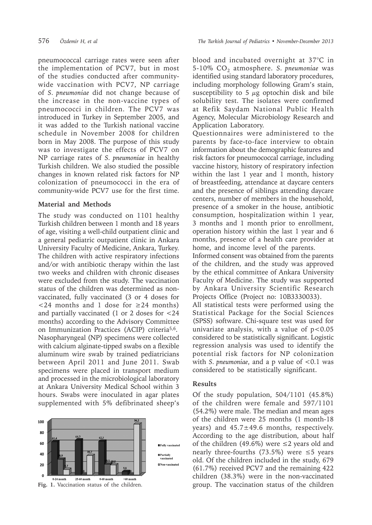pneumococcal carriage rates were seen after the implementation of PCV7, but in most of the studies conducted after communitywide vaccination with PCV7, NP carriage of *S. pneumoniae* did not change because of the increase in the non-vaccine types of pneumococci in children. The PCV7 was introduced in Turkey in September 2005, and it was added to the Turkish national vaccine schedule in November 2008 for children born in May 2008. The purpose of this study was to investigate the effects of PCV7 on NP carriage rates of *S. pneumoniae* in healthy Turkish children. We also studied the possible changes in known related risk factors for NP colonization of pneumococci in the era of community-wide PCV7 use for the first time.

## **Material and Methods**

The study was conducted on 1101 healthy Turkish children between 1 month and 18 years of age, visiting a well-child outpatient clinic and a general pediatric outpatient clinic in Ankara University Faculty of Medicine, Ankara, Turkey. The children with active respiratory infections and/or with antibiotic therapy within the last two weeks and children with chronic diseases were excluded from the study. The vaccination status of the children was determined as nonvaccinated, fully vaccinated (3 or 4 doses for  $< 24$  months and 1 dose for  $\geq 24$  months) and partially vaccinated (1 or 2 doses for <24 months) according to the Advisory Committee on Immunization Practices (ACIP) criteria5,6. Nasopharyngeal (NP) specimens were collected with calcium alginate-tipped swabs on a flexible aluminum wire swab by trained pediatricians between April 2011 and June 2011. Swab specimens were placed in transport medium and processed in the microbiological laboratory at Ankara University Medical School within 3 hours. Swabs were inoculated in agar plates supplemented with 5% defibrinated sheep's



blood and incubated overnight at 37°C in 5-10% CO<sub>2</sub> atmosphere. *S. pneumoniae* was identified using standard laboratory procedures, including morphology following Gram's stain, susceptibility to 5  $\mu$ g optochin disk and bile solubility test. The isolates were confirmed at Refik Saydam National Public Health Agency, Molecular Microbiology Research and Application Laboratory.

Questionnaires were administered to the parents by face-to-face interview to obtain information about the demographic features and risk factors for pneumococcal carriage, including vaccine history, history of respiratory infection within the last 1 year and 1 month, history of breastfeeding, attendance at daycare centers and the presence of siblings attending daycare centers, number of members in the household, presence of a smoker in the house, antibiotic consumption, hospitalization within 1 year, 3 months and 1 month prior to enrollment, operation history within the last 1 year and 6 months, presence of a health care provider at home, and income level of the parents.

Informed consent was obtained from the parents of the children, and the study was approved by the ethical committee of Ankara University Faculty of Medicine. The study was supported by Ankara University Scientific Research Projects Office (Project no: 10B3330033).

All statistical tests were performed using the Statistical Package for the Social Sciences (SPSS) software. Chi-square test was used for univariate analysis, with a value of  $p < 0.05$ considered to be statistically significant. Logistic regression analysis was used to identify the potential risk factors for NP colonization with *S. pneumoniae*, and a p value of <0.1 was considered to be statistically significant.

# **Results**

Of the study population, 504/1101 (45.8%) of the children were female and 597/1101 (54.2%) were male. The median and mean ages of the children were 25 months (1 month-18 years) and 45.7±49.6 months, respectively. According to the age distribution, about half of the children (49.6%) were ≤2 years old and nearly three-fourths (73.5%) were  $\leq$ 5 years old. Of the children included in the study, 679 (61.7%) received PCV7 and the remaining 422 children (38.3%) were in the non-vaccinated **Fig. 1.** Vaccination status of the children. group. The vaccination status of the children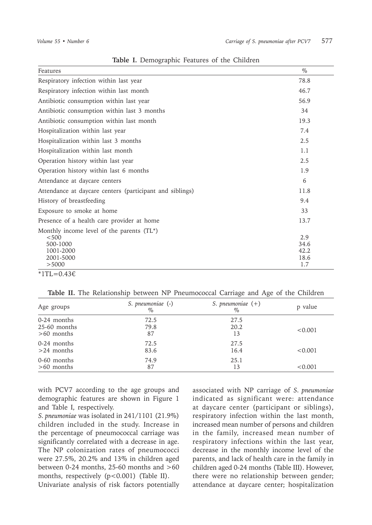| Features                                                 | $\%$        |
|----------------------------------------------------------|-------------|
| Respiratory infection within last year                   | 78.8        |
| Respiratory infection within last month                  | 46.7        |
| Antibiotic consumption within last year                  | 56.9        |
| Antibiotic consumption within last 3 months              | 34          |
| Antibiotic consumption within last month                 | 19.3        |
| Hospitalization within last year                         | 7.4         |
| Hospitalization within last 3 months                     | 2.5         |
| Hospitalization within last month                        | 1.1         |
| Operation history within last year                       | 2.5         |
| Operation history within last 6 months                   | 1.9         |
| Attendance at daycare centers                            | 6           |
| Attendance at daycare centers (participant and siblings) | 11.8        |
| History of breastfeeding                                 | 9.4         |
| Exposure to smoke at home                                | 33          |
| Presence of a health care provider at home               | 13.7        |
| Monthly income level of the parents (TL*)                |             |
| < 500                                                    | 2.9         |
| 500-1000                                                 | 34.6        |
| 1001-2000                                                | 42.2        |
| 2001-5000<br>> 5000                                      | 18.6<br>1.7 |
|                                                          |             |

**Table I.** Demographic Features of the Children

 $*1TL=0.43€$ 

**Table II.** The Relationship between NP Pneumococcal Carriage and Age of the Children

| Age groups   | S. pneumoniae (-)<br>$\%$ | S. pneumoniae $(+)$<br>$\%$ | p value |
|--------------|---------------------------|-----------------------------|---------|
| 0-24 months  | 72.5                      | 27.5                        | < 0.001 |
| 25-60 months | 79.8                      | 20.2                        |         |
| $>60$ months | 87                        | 13                          |         |
| 0-24 months  | 72.5                      | 27.5                        | < 0.001 |
| $>24$ months | 83.6                      | 16.4                        |         |
| 0-60 months  | 74.9                      | 25.1                        | < 0.001 |
| $>60$ months | 87                        | 13                          |         |

with PCV7 according to the age groups and demographic features are shown in Figure 1 and Table I, respectively.

*S. pneumoniae* was isolated in 241/1101 (21.9%) children included in the study. Increase in the percentage of pneumococcal carriage was significantly correlated with a decrease in age. The NP colonization rates of pneumococci were 27.5%, 20.2% and 13% in children aged between 0-24 months, 25-60 months and  $>60$ months, respectively (p<0.001) (Table II).

Univariate analysis of risk factors potentially

associated with NP carriage of *S. pneumoniae* indicated as significant were: attendance at daycare center (participant or siblings), respiratory infection within the last month, increased mean number of persons and children in the family, increased mean number of respiratory infections within the last year, decrease in the monthly income level of the parents, and lack of health care in the family in children aged 0-24 months (Table III). However, there were no relationship between gender; attendance at daycare center; hospitalization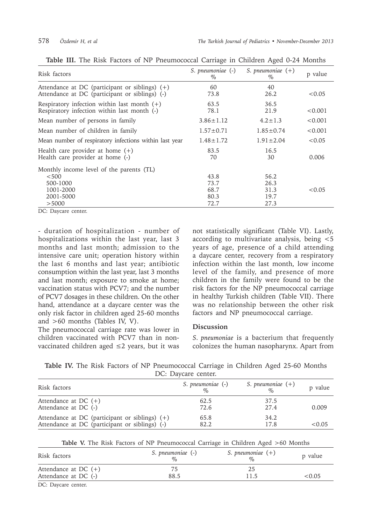| Risk factors                                                                                       | S. pneumoniae (-)<br>$\%$    | S. pneumoniae $(+)$<br>$\%$  | p value |
|----------------------------------------------------------------------------------------------------|------------------------------|------------------------------|---------|
| Attendance at DC (participant or siblings) $(+)$<br>Attendance at DC (participant or siblings) (-) | 60<br>73.8                   | 40<br>26.2                   | < 0.05  |
| Respiratory infection within last month $(+)$<br>Respiratory infection within last month (-)       | 63.5<br>78.1                 | 36.5<br>21.9                 | < 0.001 |
| Mean number of persons in family                                                                   | $3.86 \pm 1.12$              | $4.2 \pm 1.3$                | < 0.001 |
| Mean number of children in family                                                                  | $1.57 \pm 0.71$              | $1.85 \pm 0.74$              | < 0.001 |
| Mean number of respiratory infections within last year                                             | $1.48 \pm 1.72$              | $1.91 \pm 2.04$              | < 0.05  |
| Health care provider at home $(+)$<br>Health care provider at home (-)                             | 83.5<br>70                   | 16.5<br>30                   | 0.006   |
| Monthly income level of the parents (TL)<br>< 500<br>500-1000<br>1001-2000<br>2001-5000            | 43.8<br>73.7<br>68.7<br>80.3 | 56.2<br>26.3<br>31.3<br>19.7 | < 0.05  |
| > 5000                                                                                             | 72.7                         | 27.3                         |         |

**Table III.** The Risk Factors of NP Pneumococcal Carriage in Children Aged 0-24 Months

DC: Daycare center.

- duration of hospitalization - number of hospitalizations within the last year, last 3 months and last month; admission to the intensive care unit; operation history within the last 6 months and last year; antibiotic consumption within the last year, last 3 months and last month; exposure to smoke at home; vaccination status with PCV7; and the number of PCV7 dosages in these children. On the other hand, attendance at a daycare center was the only risk factor in children aged 25-60 months and >60 months (Tables IV, V).

The pneumococcal carriage rate was lower in children vaccinated with PCV7 than in nonvaccinated children aged ≤2 years, but it was not statistically significant (Table VI). Lastly, according to multivariate analysis, being <5 years of age, presence of a child attending a daycare center, recovery from a respiratory infection within the last month, low income level of the family, and presence of more children in the family were found to be the risk factors for the NP pneumococcal carriage in healthy Turkish children (Table VII). There was no relationship between the other risk factors and NP pneumococcal carriage.

### **Discussion**

*S. pneumoniae* is a bacterium that frequently colonizes the human nasopharynx. Apart from

**Table IV.** The Risk Factors of NP Pneumococcal Carriage in Children Aged 25-60 Months DC: Daycare center.

| Risk factors                                   | S. pneumoniae (-)<br>$\%$ | S. pneumoniae $(+)$<br>$\%$ | p value |
|------------------------------------------------|---------------------------|-----------------------------|---------|
| Attendance at DC $(+)$                         | 62.5                      | 37.5                        | 0.009   |
| Attendance at DC (-)                           | 72.6                      | 2.7.4                       |         |
| Attendance at DC (participant or siblings) (+) | 65.8                      | 34.2                        | <0.05   |
| Attendance at DC (participant or siblings) (-) | 82.2                      | 178                         |         |

|  | Table V. The Risk Factors of NP Pneumococcal Carriage in Children Aged >60 Months |  |  |  |  |  |  |  |
|--|-----------------------------------------------------------------------------------|--|--|--|--|--|--|--|
|--|-----------------------------------------------------------------------------------|--|--|--|--|--|--|--|

| Risk factors           | S. pneumoniae (-)<br>$\sigma_{\alpha}$ | S. pneumoniae $(+)$<br>$\%$ | p value   |
|------------------------|----------------------------------------|-----------------------------|-----------|
| Attendance at DC $(+)$ |                                        | 25                          |           |
| Attendance at DC (-)   | 88.5                                   | 11.5                        | ${<}0.05$ |
| DC. Davasas assistas   |                                        |                             |           |

DC: Daycare center.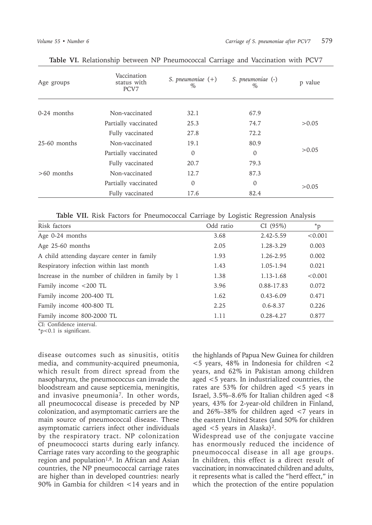| Age groups     | Vaccination<br>status with<br>PCV <sub>7</sub> | S. pneumoniae $(+)$<br>$\%$ | S. pneumoniae (-)<br>$\%$ | p value |
|----------------|------------------------------------------------|-----------------------------|---------------------------|---------|
| $0-24$ months  | Non-vaccinated                                 | 32.1                        | 67.9                      |         |
|                | Partially vaccinated                           | 25.3                        | 74.7                      | > 0.05  |
|                | Fully vaccinated                               | 27.8                        | 72.2                      |         |
| $25-60$ months | Non-vaccinated                                 | 19.1                        | 80.9                      |         |
|                | Partially vaccinated                           | $\Omega$                    | $\Omega$                  | >0.05   |
|                | Fully vaccinated                               | 20.7                        | 79.3                      |         |
| $>60$ months   | Non-vaccinated                                 | 12.7                        | 87.3                      |         |
|                | Partially vaccinated                           | 0                           | $\Omega$                  | > 0.05  |
|                | Fully vaccinated                               | 17.6                        | 82.4                      |         |

**Table VI.** Relationship between NP Pneumococcal Carriage and Vaccination with PCV7

**Table VII.** Risk Factors for Pneumococcal Carriage by Logistic Regression Analysis

| Risk factors                                      | Odd ratio | CI(95%)       | $*_{p}$ |
|---------------------------------------------------|-----------|---------------|---------|
| Age 0-24 months                                   | 3.68      | 2.42-5.59     | < 0.001 |
| Age 25-60 months                                  | 2.05      | 1.28-3.29     | 0.003   |
| A child attending daycare center in family        | 1.93      | 1.26-2.95     | 0.002   |
| Respiratory infection within last month           | 1.43      | 1.05-1.94     | 0.021   |
| Increase in the number of children in family by 1 | 1.38      | 1.13-1.68     | < 0.001 |
| Family income <200 TL                             | 3.96      | 0.88-17.83    | 0.072   |
| Family income 200-400 TL                          | 1.62      | $0.43 - 6.09$ | 0.471   |
| Family income 400-800 TL                          | 2.25      | $0.6 - 8.37$  | 0.226   |
| Family income 800-2000 TL                         | 1.11      | $0.28 - 4.27$ | 0.877   |
| CI: Confidence interval.                          |           |               |         |

\*p<0.1 is significant.

disease outcomes such as sinusitis, otitis media, and community-acquired pneumonia, which result from direct spread from the nasopharynx, the pneumococcus can invade the bloodstream and cause septicemia, meningitis, and invasive pneumonia7. In other words, all pneumococcal disease is preceded by NP colonization, and asymptomatic carriers are the main source of pneumococcal disease. These asymptomatic carriers infect other individuals by the respiratory tract. NP colonization of pneumococci starts during early infancy. Carriage rates vary according to the geographic region and population<sup>1,8</sup>. In African and Asian countries, the NP pneumococcal carriage rates are higher than in developed countries: nearly 90% in Gambia for children <14 years and in

the highlands of Papua New Guinea for children  $<$  5 years, 48% in Indonesia for children  $<$  2 years, and 62% in Pakistan among children aged <5 years. In industrialized countries, the rates are 53% for children aged <5 years in Israel, 3.5%–8.6% for Italian children aged <8 years, 43% for 2-year-old children in Finland, and 26%–38% for children aged <7 years in the eastern United States (and 50% for children aged  $\lt 5$  years in Alaska)<sup>2</sup>.

Widespread use of the conjugate vaccine has enormously reduced the incidence of pneumococcal disease in all age groups. In children, this effect is a direct result of vaccination; in nonvaccinated children and adults, it represents what is called the "herd effect," in which the protection of the entire population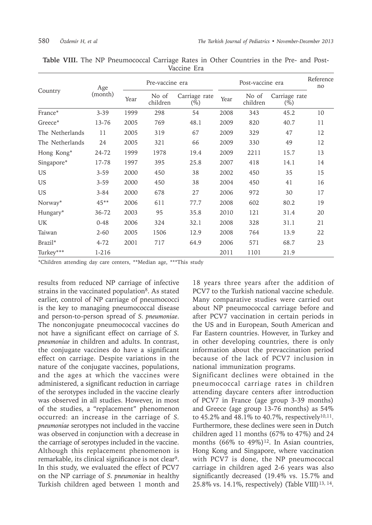|                     | Age      | Pre-vaccine era |                   |                         |      | Reference<br>no   |                         |    |
|---------------------|----------|-----------------|-------------------|-------------------------|------|-------------------|-------------------------|----|
| Country             | (month)  | Year            | No of<br>children | Carriage rate<br>$(\%)$ | Year | No of<br>children | Carriage rate<br>$(\%)$ |    |
| France*             | $3 - 39$ | 1999            | 298               | 54                      | 2008 | 343               | 45.2                    | 10 |
| Greece*             | 13-76    | 2005            | 769               | 48.1                    | 2009 | 820               | 40.7                    | 11 |
| The Netherlands     | 11       | 2005            | 319               | 67                      | 2009 | 329               | 47                      | 12 |
| The Netherlands     | 24       | 2005            | 321               | 66                      | 2009 | 330               | 49                      | 12 |
| Hong Kong*          | 24-72    | 1999            | 1978              | 19.4                    | 2009 | 2211              | 15.7                    | 13 |
| Singapore*          | 17-78    | 1997            | 395               | 25.8                    | 2007 | 418               | 14.1                    | 14 |
| US.                 | $3 - 59$ | 2000            | 450               | 38                      | 2002 | 450               | 35                      | 15 |
| US.                 | $3 - 59$ | 2000            | 450               | 38                      | 2004 | 450               | 41                      | 16 |
| <b>US</b>           | $3 - 84$ | 2000            | 678               | 27                      | 2006 | 972               | 30                      | 17 |
| Norway*             | $45**$   | 2006            | 611               | 77.7                    | 2008 | 602               | 80.2                    | 19 |
| Hungary*            | 36-72    | 2003            | 95                | 35.8                    | 2010 | 121               | 31.4                    | 20 |
| <b>UK</b>           | $0 - 48$ | 2006            | 324               | 32.1                    | 2008 | 328               | 31.1                    | 21 |
| Taiwan              | $2 - 60$ | 2005            | 1506              | 12.9                    | 2008 | 764               | 13.9                    | 22 |
| Brazil <sup>*</sup> | $4 - 72$ | 2001            | 717               | 64.9                    | 2006 | 571               | 68.7                    | 23 |
| Turkey***           | 1-216    |                 |                   |                         | 2011 | 1101              | 21.9                    |    |

|  |  | <b>Table VIII.</b> The NP Pneumococcal Carriage Rates in Other Countries in the Pre- and Post- |             |  |  |  |  |
|--|--|------------------------------------------------------------------------------------------------|-------------|--|--|--|--|
|  |  |                                                                                                | Vaccine Era |  |  |  |  |

\*Children attending day care centers, \*\*Median age, \*\*\*This study

results from reduced NP carriage of infective strains in the vaccinated population<sup>8</sup>. As stated earlier, control of NP carriage of pneumococci is the key to managing pneumococcal disease and person-to-person spread of *S. pneumoniae*. The nonconjugate pneumococcal vaccines do not have a significant effect on carriage of *S. pneumoniae* in children and adults. In contrast, the conjugate vaccines do have a significant effect on carriage. Despite variations in the nature of the conjugate vaccines, populations, and the ages at which the vaccines were administered, a significant reduction in carriage of the serotypes included in the vaccine clearly was observed in all studies. However, in most of the studies, a "replacement" phenomenon occurred: an increase in the carriage of *S. pneumoniae* serotypes not included in the vaccine was observed in conjunction with a decrease in the carriage of serotypes included in the vaccine. Although this replacement phenomenon is remarkable, its clinical significance is not clear<sup>9</sup>. In this study, we evaluated the effect of PCV7 on the NP carriage of *S. pneumoniae* in healthy Turkish children aged between 1 month and

18 years three years after the addition of PCV7 to the Turkish national vaccine schedule. Many comparative studies were carried out about NP pneumococcal carriage before and after PCV7 vaccination in certain periods in the US and in European, South American and Far Eastern countries. However, in Turkey and in other developing countries, there is only information about the prevaccination period because of the lack of PCV7 inclusion in national immunization programs.

Significant declines were obtained in the pneumococcal carriage rates in children attending daycare centers after introduction of PCV7 in France (age group 3-39 months) and Greece (age group 13-76 months) as 54% to 45.2% and 48.1% to 40.7%, respectively<sup>10,11</sup>. Furthermore, these declines were seen in Dutch children aged 11 months (67% to 47%) and 24 months  $(66\% \text{ to } 49\%)$ <sup>12</sup>. In Asian countries, Hong Kong and Singapore, where vaccination with PCV7 is done, the NP pneumococcal carriage in children aged 2-6 years was also significantly decreased (19.4% vs. 15.7% and 25.8% vs. 14.1%, respectively) (Table VIII)<sup>13, 14</sup>.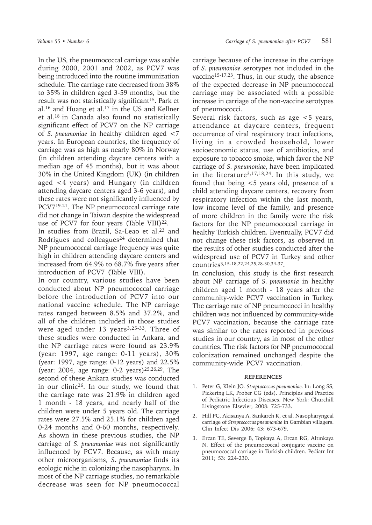In the US, the pneumococcal carriage was stable during 2000, 2001 and 2002, as PCV7 was being introduced into the routine immunization schedule. The carriage rate decreased from 38% to 35% in children aged 3-59 months, but the result was not statistically significant<sup>15</sup>. Park et al.16 and Huang et al.17 in the US and Kellner et al.18 in Canada also found no statistically significant effect of PCV7 on the NP carriage of *S. pneumoniae* in healthy children aged <7 years. In European countries, the frequency of carriage was as high as nearly 80% in Norway (in children attending daycare centers with a median age of 45 months), but it was about 30% in the United Kingdom (UK) (in children aged <4 years) and Hungary (in children attending daycare centers aged 3-6 years), and these rates were not significantly influenced by PCV719-21. The NP pneumococcal carriage rate did not change in Taiwan despite the widespread use of PCV7 for four years (Table VIII)<sup>22</sup>.

In studies from Brazil, Sa-Leao et al.<sup>23</sup> and Rodrigues and colleagues<sup>24</sup> determined that NP pneumococcal carriage frequency was quite high in children attending daycare centers and increased from 64.9% to 68.7% five years after introduction of PCV7 (Table VIII).

In our country, various studies have been conducted about NP pneumococcal carriage before the introduction of PCV7 into our national vaccine schedule. The NP carriage rates ranged between 8.5% and 37.2%, and all of the children included in those studies were aged under  $13$  years<sup>3,25-33</sup>. Three of these studies were conducted in Ankara, and the NP carriage rates were found as 23.9% (year: 1997, age range: 0-11 years), 30% (year: 1997, age range: 0-12 years) and 22.5% (year: 2004, age range: 0-2 years)25,26,29. The second of these Ankara studies was conducted in our clinic<sup>26</sup>. In our study, we found that the carriage rate was 21.9% in children aged 1 month - 18 years, and nearly half of the children were under 5 years old. The carriage rates were 27.5% and 25.1% for children aged 0-24 months and 0-60 months, respectively. As shown in these previous studies, the NP carriage of *S. pneumoniae* was not significantly influenced by PCV7. Because, as with many other microorganisms, *S. pneumoniae* finds its ecologic niche in colonizing the nasopharynx. In most of the NP carriage studies, no remarkable decrease was seen for NP pneumococcal

carriage because of the increase in the carriage of *S. pneumoniae* serotypes not included in the vaccine15-17,23. Thus, in our study, the absence of the expected decrease in NP pneumococcal carriage may be associated with a possible increase in carriage of the non-vaccine serotypes of pneumococci.

Several risk factors, such as age <5 years, attendance at daycare centers, frequent occurrence of viral respiratory tract infections, living in a crowded household, lower socioeconomic status, use of antibiotics, and exposure to tobacco smoke, which favor the NP carriage of *S. pneumoniae*, have been implicated in the literature3,17,18,24. In this study, we found that being <5 years old, presence of a child attending daycare centers, recovery from respiratory infection within the last month, low income level of the family, and presence of more children in the family were the risk factors for the NP pneumococcal carriage in healthy Turkish children. Eventually, PCV7 did not change these risk factors, as observed in the results of other studies conducted after the widespread use of PCV7 in Turkey and other countries3,15-18,22,24,25,28-30,34-37.

In conclusion, this study is the first research about NP carriage of *S. pneumonia* in healthy children aged 1 month - 18 years after the community-wide PCV7 vaccination in Turkey. The carriage rate of NP pneumococci in healthy children was not influenced by community-wide PCV7 vaccination, because the carriage rate was similar to the rates reported in previous studies in our country, as in most of the other countries. The risk factors for NP pneumococcal colonization remained unchanged despite the community-wide PCV7 vaccination.

### **REFERENCES**

- 1. Peter G, Klein JO. *Streptococcus pneumoniae.* In: Long SS, Pickering LK, Prober CG (eds). Principles and Practice of Pediatric Infectious Diseases. New York: Churchill Livingstone Elsevier; 2008: 725-733.
- 2. Hill PC, Akisanya A, Sankareh K, et al. Nasopharyngeal carriage of *Streptococcus pneumoniae* in Gambian villagers. Clin Infect Dis 2006; 43: 673-679.
- 3. Ercan TE, Severge B, Topkaya A, Ercan RG, Altınkaya N. Effect of the pneumococcal conjugate vaccine on pneumococcal carriage in Turkish children. Pediatr Int 2011; 53: 224-230.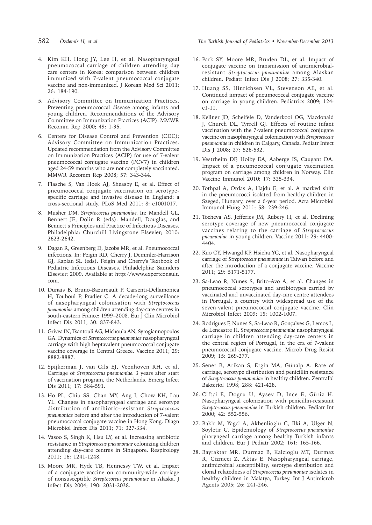- 4. Kim KH, Hong JY, Lee H, et al. Nasopharyngeal pneumococcal carriage of children attending day care centers in Korea: comparison between children immunized with 7-valent pneumococcal conjugate vaccine and non-immunized. J Korean Med Sci 2011; 26: 184-190.
- 5. Advisory Committee on Immunization Practices. Preventing pneumococcal disease among infants and young children. Recommendations of the Advisory Committee on Immunization Practices (ACIP). MMWR Recomm Rep 2000; 49: 1-35.
- 6. Centers for Disease Control and Prevention (CDC); Advisory Committee on Immunization Practices. Updated recommendation from the Advisory Committee on Immunization Practices (ACIP) for use of 7-valent pneumococcal conjugate vaccine (PCV7) in children aged 24-59 months who are not completely vaccinated. MMWR Recomm Rep 2008; 57: 343-344.
- 7. Flasche S, Van Hoek AJ, Sheasby E, et al. Effect of pneumococcal conjugate vaccination on serotypespecific carriage and invasive disease in England: a cross-sectional study. PLoS Med 2011; 8: e1001017.
- 8. Musher DM. *Streptococcus pneumoniae.* In: Mandell GL, Bennett JE, Dolin R (eds). Mandell, Douglas, and Bennett's Principles and Practice of Infectious Diseases. Philadelphia: Churchill Livingstone Elsevier; 2010: 2623-2642.
- 9. Dagan R, Greenberg D, Jacobs MR, et al. Pneumococcal infections. In: Feigin RD, Cherry J, Demmler-Harrison GJ, Kaplan SL (eds). Feigin and Cherry's Textbook of Pediatric Infectious Diseases. Philadelphia: Saunders Elsevier; 2009. Available at http://www.expertconsult. com.
- 10. Dunais B, Bruno-Bazureault P, Carsenti-Dellamonica H, Touboul P, Pradier C. A decade-long surveillance of nasopharyngeal colonisation with *Streptococcus pneumoniae* among children attending day-care centres in south-eastern France: 1999–2008. Eur J Clin Microbiol Infect Dis 2011; 30: 837-843.
- 11. Grivea IN, Tsantouli AG, Michoula AN, Syrogiannopoulos GA. Dynamics of *Streptococcus pneumoniae* nasopharyngeal carriage with high heptavalent pneumococcal conjugate vaccine coverage in Central Greece. Vaccine 2011; 29: 8882-8887.
- 12. Spijkerman J, van Gils EJ, Veenhoven RH, et al. Carriage of *Streptococcus pneumoniae.* 3 years after start of vaccination program, the Netherlands. Emerg Infect Dis 2011; 17: 584-591.
- 13. Ho PL, Chiu SS, Chan MY, Ang I, Chow KH, Lau YL. Changes in nasopharyngeal carriage and serotype distribution of antibiotic-resistant *Streptococcus pneumoniae* before and after the introduction of 7-valent pneumococcal conjugate vaccine in Hong Kong. Diagn Microbiol Infect Dis 2011; 71: 327-334.
- 14. Vasoo S, Singh K, Hsu LY, et al. Increasing antibiotic resistance in *Streptococcus pneumoniae* colonizing children attending day-care centres in Singapore. Respirology 2011; 16: 1241-1248.
- 15. Moore MR, Hyde TB, Hennessy TW, et al. Impact of a conjugate vaccine on community-wide carriage of nonsusceptible *Streptococcus pneumoniae* in Alaska. J Infect Dis 2004; 190: 2031-2038.

582 *Özdemir H, et al The Turkish Journal of Pediatrics • November-December 2013*

- 16. Park SY, Moore MR, Bruden DL, et al. Impact of conjugate vaccine on transmission of antimicrobialresistant *Streptococcus pneumoniae* among Alaskan children. Pediatr Infect Dis J 2008; 27: 335-340.
- 17. Huang SS, Hinrichsen VL, Stevenson AE, et al. Continued iımpact of pneumococcal conjugate vaccine on carriage in young children. Pediatrics 2009; 124: e1-11.
- 18. Kellner JD, Scheifele D, Vanderkooi OG, Macdonald J, Church DL, Tyrrell GJ. Effects of routine infant vaccination with the 7-valent pneumococcal conjugate vaccine on nasopharyngeal colonization with *Streptococcus pneumoniae* in children in Calgary, Canada. Pediatr Infect Dis J 2008; 27: 526-532.
- 19. Vestrheim DF, Hoiby EA, Aaberge IS, Caugant DA. Impact of a pneumococcal conjugate vaccination program on carriage among children in Norway. Clin Vaccine Immunol 2010; 17: 325-334.
- 20. Tothpal A, Ordas A, Hajdu E, et al. A marked shift in the pneumococci isolated from healthy children in Szeged, Hungary, over a 6-year period. Acta Microbiol Immunol Hung 2011; 58: 239-246.
- 21. Tocheva AS, Jefferies JM, Rubery H, et al. Declining serotype coverage of new pneumococcal conjugate vaccines relating to the carriage of *Streptococcus pneumoniae* in young children. Vaccine 2011; 29: 4400- 4404.
- 22. Kuo CY, Hwangd KP, Hsieha YC, et al. Nasopharyngeal carriage of *Streptococcus pneumoniae* in Taiwan before and after the introduction of a conjugate vaccine. Vaccine 2011; 29: 5171-5177.
- 23. Sa-Leao R, Nunes S, Brito-Avo A, et al. Changes in pneumococcal serotypes and antibiotypes carried by vaccinated and unvaccinated day-care centre attendees in Portugal, a country with widespread use of the seven-valent pneumococcal conjugate vaccine. Clin Microbiol Infect 2009; 15: 1002-1007.
- 24. Rodrigues F, Nunes S, Sa-Leao R, Gonçalves G, Lemos L, de Lencastre H. *Streptococcus pneumoniae* nasopharyngeal carriage in children attending day-care centers in the central region of Portugal, in the era of 7-valent pneumococcal conjugate vaccine. Microb Drug Resist 2009; 15: 269-277.
- 25. Sener B, Arikan S, Ergin MA, Günalp A. Rate of carriage, serotype distribution and penicillin resistance of *Streptococcus pneumoniae* in healthy children. Zentralbl Bakteriol 1998; 288: 421-428.
- 26. Ciftçi E, Dogru U, Aysev D, Ince E, Güriz H. Nasopharyngeal colonization with penicillin-resistant *Streptococcus pneumoniae* in Turkish children. Pediatr Int 2000; 42: 552-556.
- 27. Bakir M, Yagci A, Akbenlioglu C, Ilki A, Ulger N, Soyletir G. Epidemiology of *Streptococcus pneumoniae* pharyngeal carriage among healthy Turkish infants and children. Eur J Pediatr 2002; 161: 165-166.
- 28. Bayraktar MR, Durmaz B, Kalcioglu MT, Durmaz R, Cizmeci Z, Aktas E. Nasopharyngeal carriage, antimicrobial susceptibility, serotype distribution and clonal relatedness of *Streptococcus pneumoniae* isolates in healthy children in Malatya, Turkey. Int J Antimicrob Agents 2005; 26: 241-246.